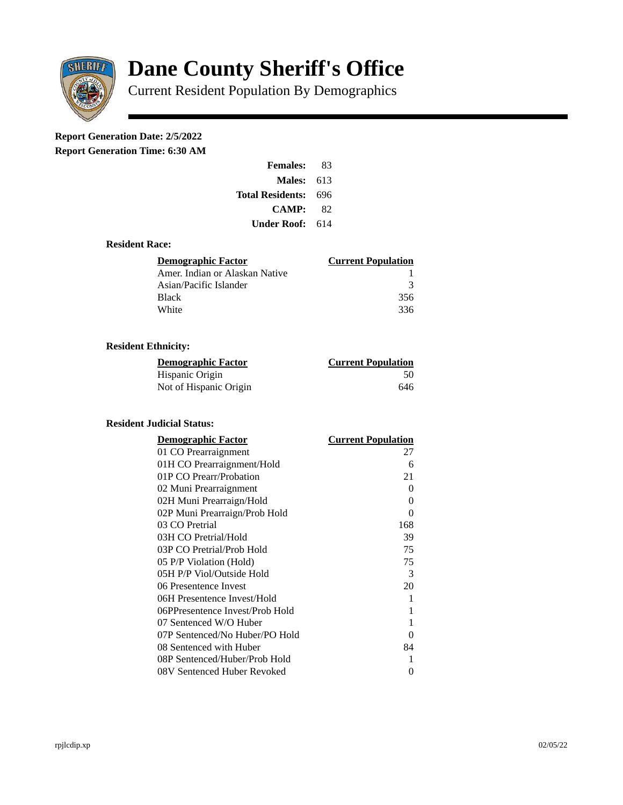

# **Dane County Sheriff's Office**

Current Resident Population By Demographics

# **Report Generation Date: 2/5/2022**

**Report Generation Time: 6:30 AM** 

| <b>Females:</b>         | 83  |  |
|-------------------------|-----|--|
| Males:                  | 613 |  |
| <b>Total Residents:</b> | 696 |  |
| CAMP:                   | 82  |  |
| Under Roof:             | 614 |  |

### **Resident Race:**

| Demographic Factor             | <b>Current Population</b> |
|--------------------------------|---------------------------|
| Amer. Indian or Alaskan Native |                           |
| Asian/Pacific Islander         | з                         |
| Black                          | 356                       |
| White                          | 336                       |

# **Resident Ethnicity:**

| <u> Demographic Factor</u> | <b>Current Population</b> |
|----------------------------|---------------------------|
| Hispanic Origin            | 50                        |
| Not of Hispanic Origin     | 646                       |

#### **Resident Judicial Status:**

| <b>Demographic Factor</b>       | <b>Current Population</b> |
|---------------------------------|---------------------------|
| 01 CO Prearraignment            | 27                        |
| 01H CO Prearraignment/Hold      | 6                         |
| 01P CO Prearr/Probation         | 21                        |
| 02 Muni Prearraignment          | 0                         |
| 02H Muni Prearraign/Hold        | 0                         |
| 02P Muni Prearraign/Prob Hold   | 0                         |
| 03 CO Pretrial                  | 168                       |
| 03H CO Pretrial/Hold            | 39                        |
| 03P CO Pretrial/Prob Hold       | 75                        |
| 05 P/P Violation (Hold)         | 75                        |
| 05H P/P Viol/Outside Hold       | 3                         |
| 06 Presentence Invest           | 20                        |
| 06H Presentence Invest/Hold     | 1                         |
| 06PPresentence Invest/Prob Hold | 1                         |
| 07 Sentenced W/O Huber          | 1                         |
| 07P Sentenced/No Huber/PO Hold  | 0                         |
| 08 Sentenced with Huber         | 84                        |
| 08P Sentenced/Huber/Prob Hold   | 1                         |
| 08V Sentenced Huber Revoked     | 0                         |